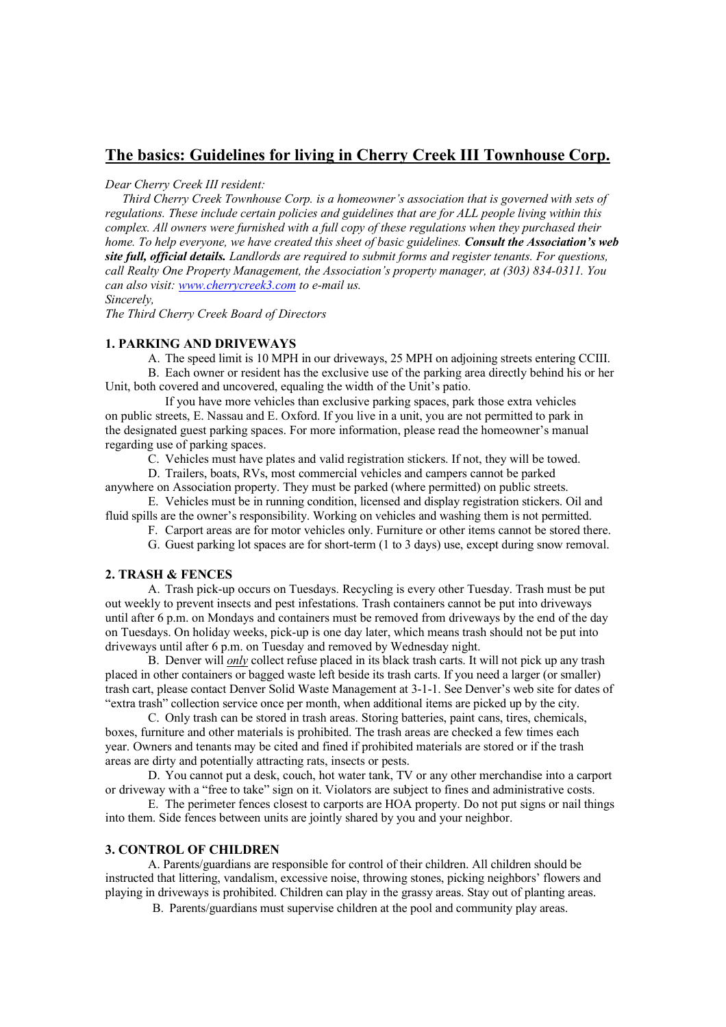# **The basics: Guidelines for living in Cherry Creek III Townhouse Corp.**

#### *Dear Cherry Creek III resident:*

*Third Cherry Creek Townhouse Corp. is a homeowner's association that is governed with sets of regulations. These include certain policies and guidelines that are for ALL people living within this complex. All owners were furnished with a full copy of these regulations when they purchased their home. To help everyone, we have created this sheet of basic guidelines. Consult the Association's web site full, official details. Landlords are required to submit forms and register tenants. For questions, call Realty One Property Management, the Association's property manager, at (303) 834-0311. You can also visit: www.cherrycreek3.com to e-mail us. Sincerely,*

*The Third Cherry Creek Board of Directors*

## **1. PARKING AND DRIVEWAYS**

A. The speed limit is 10 MPH in our driveways, 25 MPH on adjoining streets entering CCIII.

B. Each owner or resident has the exclusive use of the parking area directly behind his or her Unit, both covered and uncovered, equaling the width of the Unit's patio.

If you have more vehicles than exclusive parking spaces, park those extra vehicles on public streets, E. Nassau and E. Oxford. If you live in a unit, you are not permitted to park in the designated guest parking spaces. For more information, please read the homeowner's manual regarding use of parking spaces.

C. Vehicles must have plates and valid registration stickers. If not, they will be towed.

D. Trailers, boats, RVs, most commercial vehicles and campers cannot be parked anywhere on Association property. They must be parked (where permitted) on public streets.

E. Vehicles must be in running condition, licensed and display registration stickers. Oil and fluid spills are the owner's responsibility. Working on vehicles and washing them is not permitted.

F. Carport areas are for motor vehicles only. Furniture or other items cannot be stored there.

G. Guest parking lot spaces are for short-term (1 to 3 days) use, except during snow removal.

#### **2. TRASH & FENCES**

A. Trash pick-up occurs on Tuesdays. Recycling is every other Tuesday. Trash must be put out weekly to prevent insects and pest infestations. Trash containers cannot be put into driveways until after 6 p.m. on Mondays and containers must be removed from driveways by the end of the day on Tuesdays. On holiday weeks, pick-up is one day later, which means trash should not be put into driveways until after 6 p.m. on Tuesday and removed by Wednesday night.

B. Denver will *only* collect refuse placed in its black trash carts. It will not pick up any trash placed in other containers or bagged waste left beside its trash carts. If you need a larger (or smaller) trash cart, please contact Denver Solid Waste Management at 3-1-1. See Denver's web site for dates of "extra trash" collection service once per month, when additional items are picked up by the city.

C. Only trash can be stored in trash areas. Storing batteries, paint cans, tires, chemicals, boxes, furniture and other materials is prohibited. The trash areas are checked a few times each year. Owners and tenants may be cited and fined if prohibited materials are stored or if the trash areas are dirty and potentially attracting rats, insects or pests.

D. You cannot put a desk, couch, hot water tank, TV or any other merchandise into a carport or driveway with a "free to take" sign on it. Violators are subject to fines and administrative costs.

E. The perimeter fences closest to carports are HOA property. Do not put signs or nail things into them. Side fences between units are jointly shared by you and your neighbor.

#### **3. CONTROL OF CHILDREN**

A. Parents/guardians are responsible for control of their children. All children should be instructed that littering, vandalism, excessive noise, throwing stones, picking neighbors' flowers and playing in driveways is prohibited. Children can play in the grassy areas. Stay out of planting areas.

B. Parents/guardians must supervise children at the pool and community play areas.